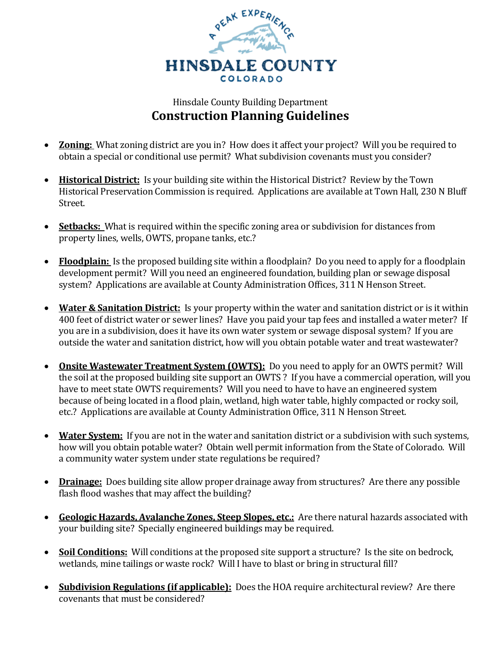

## Hinsdale County Building Department **Construction Planning Guidelines**

- **Zoning:** What zoning district are you in? How does it affect your project? Will you be required to obtain a special or conditional use permit? What subdivision covenants must you consider?
- **Historical District:** Is your building site within the Historical District? Review by the Town Historical Preservation Commission is required. Applications are available at Town Hall, 230 N Bluff Street.
- **Setbacks:** What is required within the specific zoning area or subdivision for distances from property lines, wells, OWTS, propane tanks, etc.?
- **Floodplain:** Is the proposed building site within a floodplain? Do you need to apply for a floodplain development permit? Will you need an engineered foundation, building plan or sewage disposal system? Applications are available at County Administration Offices, 311 N Henson Street.
- **Water & Sanitation District:** Is your property within the water and sanitation district or is it within 400 feet of district water or sewer lines? Have you paid your tap fees and installed a water meter? If you are in a subdivision, does it have its own water system or sewage disposal system? If you are outside the water and sanitation district, how will you obtain potable water and treat wastewater?
- **Onsite Wastewater Treatment System (OWTS):** Do you need to apply for an OWTS permit? Will the soil at the proposed building site support an OWTS ? If you have a commercial operation, will you have to meet state OWTS requirements? Will you need to have to have an engineered system because of being located in a flood plain, wetland, high water table, highly compacted or rocky soil, etc.? Applications are available at County Administration Office, 311 N Henson Street.
- **Water System:** If you are not in the water and sanitation district or a subdivision with such systems, how will you obtain potable water? Obtain well permit information from the State of Colorado. Will a community water system under state regulations be required?
- **Drainage:** Does building site allow proper drainage away from structures? Are there any possible flash flood washes that may affect the building?
- **Geologic Hazards, Avalanche Zones, Steep Slopes, etc.:** Are there natural hazards associated with your building site? Specially engineered buildings may be required.
- Soil Conditions: Will conditions at the proposed site support a structure? Is the site on bedrock, wetlands, mine tailings or waste rock? Will I have to blast or bring in structural fill?
- **Subdivision Regulations (if applicable):** Does the HOA require architectural review? Are there covenants that must be considered?